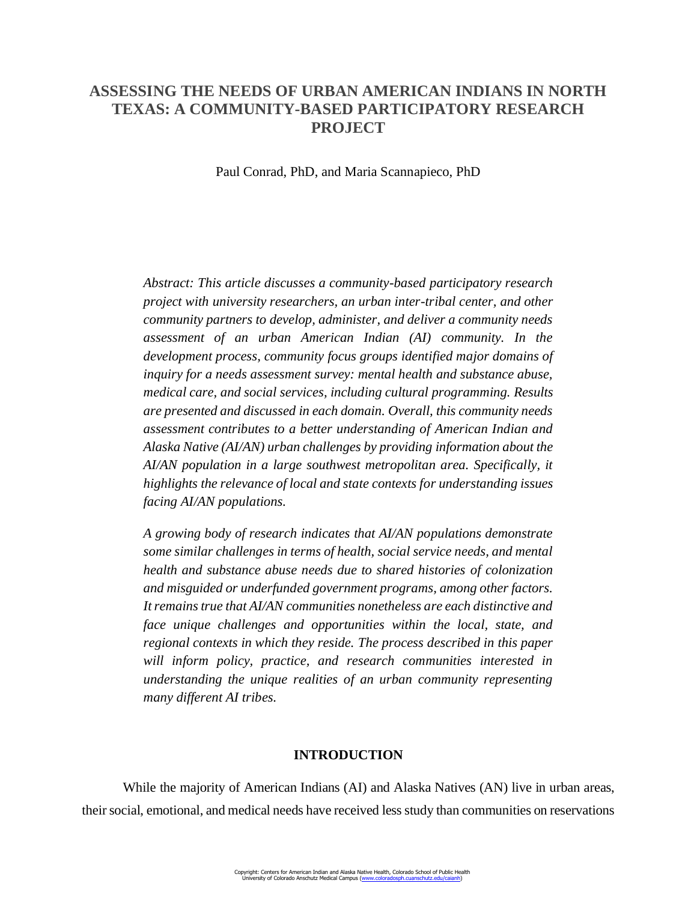# **ASSESSING THE NEEDS OF URBAN AMERICAN INDIANS IN NORTH TEXAS: A COMMUNITY-BASED PARTICIPATORY RESEARCH PROJECT**

Paul Conrad, PhD, and Maria Scannapieco, PhD

*Abstract: This article discusses a community-based participatory research project with university researchers, an urban inter-tribal center, and other community partners to develop, administer, and deliver a community needs assessment of an urban American Indian (AI) community. In the development process, community focus groups identified major domains of inquiry for a needs assessment survey: mental health and substance abuse, medical care, and social services, including cultural programming. Results are presented and discussed in each domain. Overall, this community needs assessment contributes to a better understanding of American Indian and Alaska Native (AI/AN) urban challenges by providing information about the AI/AN population in a large southwest metropolitan area. Specifically, it highlights the relevance of local and state contexts for understanding issues facing AI/AN populations.* 

*A growing body of research indicates that AI/AN populations demonstrate some similar challenges in terms of health, social service needs, and mental health and substance abuse needs due to shared histories of colonization and misguided or underfunded government programs, among other factors. It remains true that AI/AN communities nonetheless are each distinctive and face unique challenges and opportunities within the local, state, and regional contexts in which they reside. The process described in this paper will inform policy, practice, and research communities interested in understanding the unique realities of an urban community representing many different AI tribes.*

### **INTRODUCTION**

While the majority of American Indians (AI) and Alaska Natives (AN) live in urban areas, their social, emotional, and medical needs have received less study than communities on reservations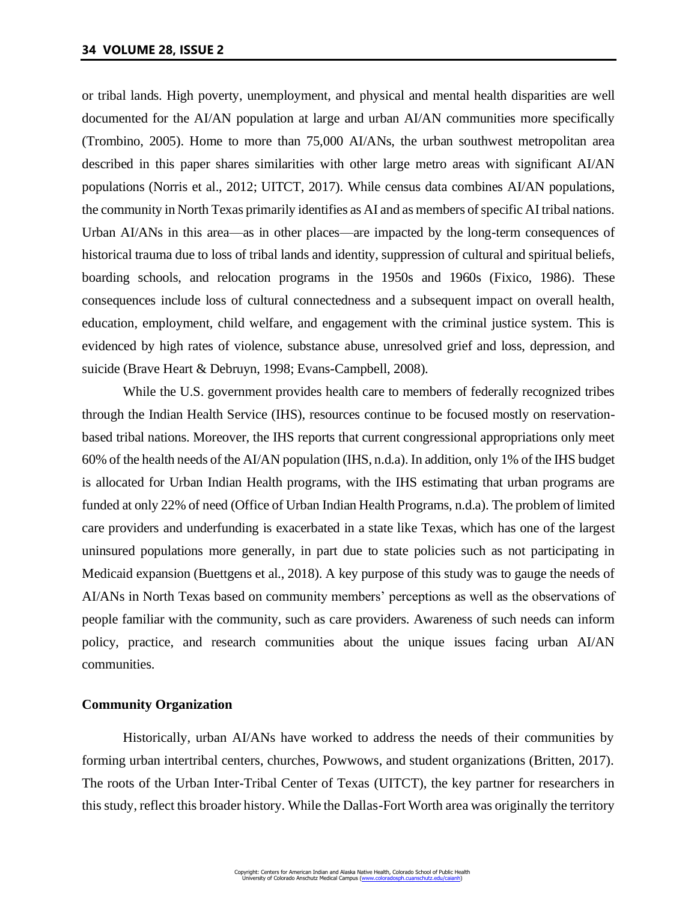or tribal lands. High poverty, unemployment, and physical and mental health disparities are well documented for the AI/AN population at large and urban AI/AN communities more specifically (Trombino, 2005). Home to more than 75,000 AI/ANs, the urban southwest metropolitan area described in this paper shares similarities with other large metro areas with significant AI/AN populations (Norris et al., 2012; UITCT, 2017). While census data combines AI/AN populations, the community in North Texas primarily identifies as AI and as members of specific AI tribal nations. Urban AI/ANs in this area—as in other places—are impacted by the long-term consequences of historical trauma due to loss of tribal lands and identity, suppression of cultural and spiritual beliefs, boarding schools, and relocation programs in the 1950s and 1960s (Fixico, 1986). These consequences include loss of cultural connectedness and a subsequent impact on overall health, education, employment, child welfare, and engagement with the criminal justice system. This is evidenced by high rates of violence, substance abuse, unresolved grief and loss, depression, and suicide (Brave Heart & Debruyn, 1998; Evans-Campbell, 2008).

While the U.S. government provides health care to members of federally recognized tribes through the Indian Health Service (IHS), resources continue to be focused mostly on reservationbased tribal nations. Moreover, the IHS reports that current congressional appropriations only meet 60% of the health needs of the AI/AN population (IHS, n.d.a). In addition, only 1% of the IHS budget is allocated for Urban Indian Health programs, with the IHS estimating that urban programs are funded at only 22% of need (Office of Urban Indian Health Programs, n.d.a). The problem of limited care providers and underfunding is exacerbated in a state like Texas, which has one of the largest uninsured populations more generally, in part due to state policies such as not participating in Medicaid expansion (Buettgens et al., 2018). A key purpose of this study was to gauge the needs of AI/ANs in North Texas based on community members' perceptions as well as the observations of people familiar with the community, such as care providers. Awareness of such needs can inform policy, practice, and research communities about the unique issues facing urban AI/AN communities.

# **Community Organization**

Historically, urban AI/ANs have worked to address the needs of their communities by forming urban intertribal centers, churches, Powwows, and student organizations (Britten, 2017). The roots of the Urban Inter-Tribal Center of Texas (UITCT), the key partner for researchers in this study, reflect this broader history. While the Dallas-Fort Worth area was originally the territory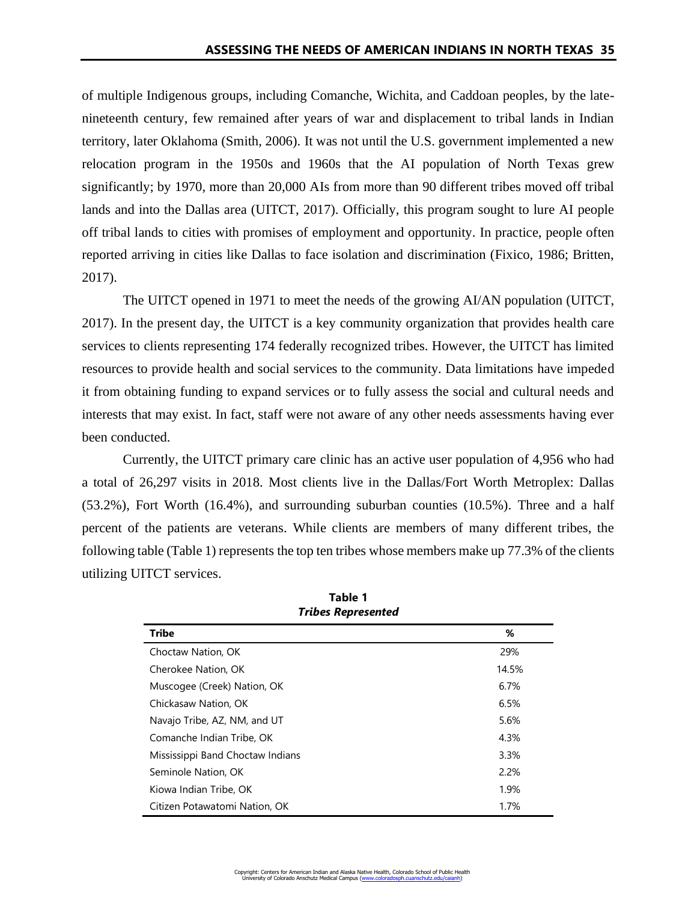of multiple Indigenous groups, including Comanche, Wichita, and Caddoan peoples, by the latenineteenth century, few remained after years of war and displacement to tribal lands in Indian territory, later Oklahoma (Smith, 2006). It was not until the U.S. government implemented a new relocation program in the 1950s and 1960s that the AI population of North Texas grew significantly; by 1970, more than 20,000 AIs from more than 90 different tribes moved off tribal lands and into the Dallas area (UITCT, 2017). Officially, this program sought to lure AI people off tribal lands to cities with promises of employment and opportunity. In practice, people often reported arriving in cities like Dallas to face isolation and discrimination (Fixico, 1986; Britten, 2017).

The UITCT opened in 1971 to meet the needs of the growing AI/AN population (UITCT, 2017). In the present day, the UITCT is a key community organization that provides health care services to clients representing 174 federally recognized tribes. However, the UITCT has limited resources to provide health and social services to the community. Data limitations have impeded it from obtaining funding to expand services or to fully assess the social and cultural needs and interests that may exist. In fact, staff were not aware of any other needs assessments having ever been conducted.

Currently, the UITCT primary care clinic has an active user population of 4,956 who had a total of 26,297 visits in 2018. Most clients live in the Dallas/Fort Worth Metroplex: Dallas (53.2%), Fort Worth (16.4%), and surrounding suburban counties (10.5%). Three and a half percent of the patients are veterans. While clients are members of many different tribes, the following table (Table 1) represents the top ten tribes whose members make up 77.3% of the clients utilizing UITCT services.

| THUGS MEDICSCHIEM                |       |
|----------------------------------|-------|
| <b>Tribe</b>                     | %     |
| Choctaw Nation, OK               | 29%   |
| Cherokee Nation, OK              | 14.5% |
| Muscogee (Creek) Nation, OK      | 6.7%  |
| Chickasaw Nation, OK             | 6.5%  |
| Navajo Tribe, AZ, NM, and UT     | 5.6%  |
| Comanche Indian Tribe, OK        | 4.3%  |
| Mississippi Band Choctaw Indians | 3.3%  |
| Seminole Nation, OK              | 2.2%  |
| Kiowa Indian Tribe, OK           | 1.9%  |
| Citizen Potawatomi Nation, OK    | 1.7%  |

| Table 1                   |
|---------------------------|
| <b>Tribes Represented</b> |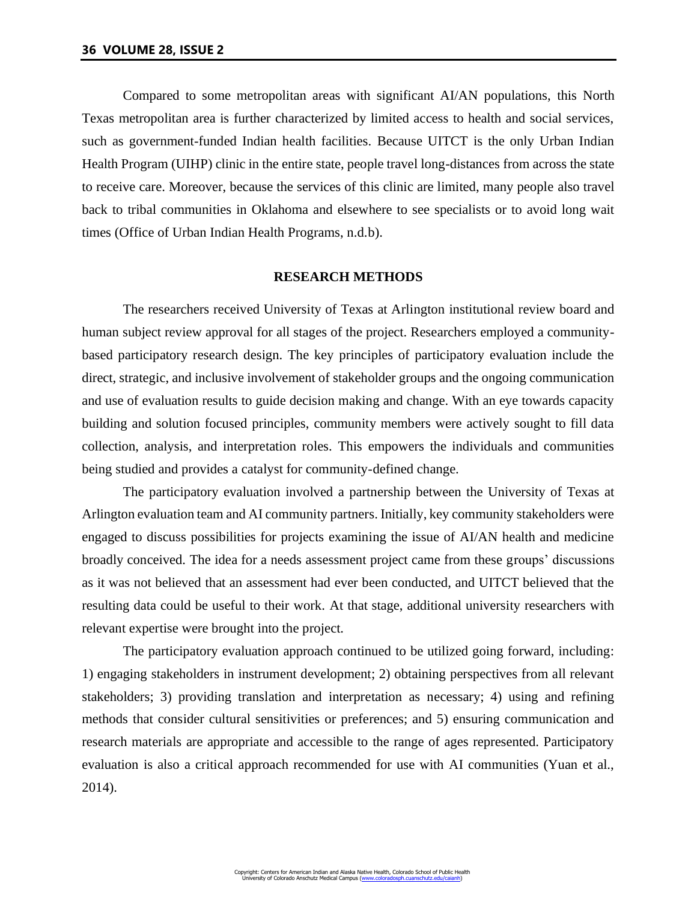Compared to some metropolitan areas with significant AI/AN populations, this North Texas metropolitan area is further characterized by limited access to health and social services, such as government-funded Indian health facilities. Because UITCT is the only Urban Indian Health Program (UIHP) clinic in the entire state, people travel long-distances from across the state to receive care. Moreover, because the services of this clinic are limited, many people also travel back to tribal communities in Oklahoma and elsewhere to see specialists or to avoid long wait times (Office of Urban Indian Health Programs, n.d.b).

### **RESEARCH METHODS**

The researchers received University of Texas at Arlington institutional review board and human subject review approval for all stages of the project. Researchers employed a communitybased participatory research design. The key principles of participatory evaluation include the direct, strategic, and inclusive involvement of stakeholder groups and the ongoing communication and use of evaluation results to guide decision making and change. With an eye towards capacity building and solution focused principles, community members were actively sought to fill data collection, analysis, and interpretation roles. This empowers the individuals and communities being studied and provides a catalyst for community-defined change.

The participatory evaluation involved a partnership between the University of Texas at Arlington evaluation team and AI community partners. Initially, key community stakeholders were engaged to discuss possibilities for projects examining the issue of AI/AN health and medicine broadly conceived. The idea for a needs assessment project came from these groups' discussions as it was not believed that an assessment had ever been conducted, and UITCT believed that the resulting data could be useful to their work. At that stage, additional university researchers with relevant expertise were brought into the project.

The participatory evaluation approach continued to be utilized going forward, including: 1) engaging stakeholders in instrument development; 2) obtaining perspectives from all relevant stakeholders; 3) providing translation and interpretation as necessary; 4) using and refining methods that consider cultural sensitivities or preferences; and 5) ensuring communication and research materials are appropriate and accessible to the range of ages represented. Participatory evaluation is also a critical approach recommended for use with AI communities (Yuan et al., 2014).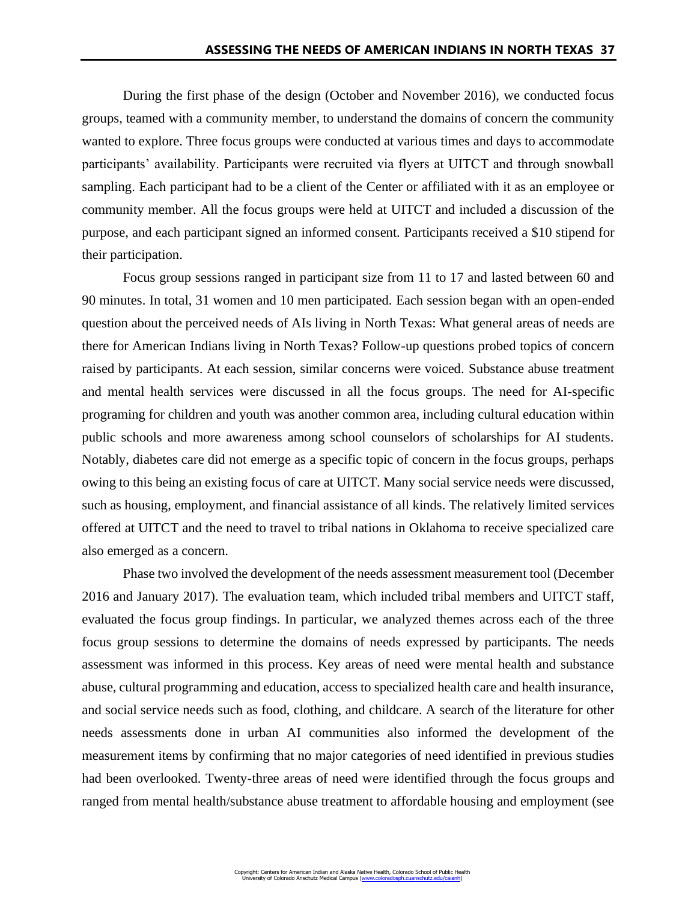During the first phase of the design (October and November 2016), we conducted focus groups, teamed with a community member, to understand the domains of concern the community wanted to explore. Three focus groups were conducted at various times and days to accommodate participants' availability. Participants were recruited via flyers at UITCT and through snowball sampling. Each participant had to be a client of the Center or affiliated with it as an employee or community member. All the focus groups were held at UITCT and included a discussion of the purpose, and each participant signed an informed consent. Participants received a \$10 stipend for their participation.

Focus group sessions ranged in participant size from 11 to 17 and lasted between 60 and 90 minutes. In total, 31 women and 10 men participated. Each session began with an open-ended question about the perceived needs of AIs living in North Texas: What general areas of needs are there for American Indians living in North Texas? Follow-up questions probed topics of concern raised by participants. At each session, similar concerns were voiced. Substance abuse treatment and mental health services were discussed in all the focus groups. The need for AI-specific programing for children and youth was another common area, including cultural education within public schools and more awareness among school counselors of scholarships for AI students. Notably, diabetes care did not emerge as a specific topic of concern in the focus groups, perhaps owing to this being an existing focus of care at UITCT. Many social service needs were discussed, such as housing, employment, and financial assistance of all kinds. The relatively limited services offered at UITCT and the need to travel to tribal nations in Oklahoma to receive specialized care also emerged as a concern.

Phase two involved the development of the needs assessment measurement tool (December 2016 and January 2017). The evaluation team, which included tribal members and UITCT staff, evaluated the focus group findings. In particular, we analyzed themes across each of the three focus group sessions to determine the domains of needs expressed by participants. The needs assessment was informed in this process. Key areas of need were mental health and substance abuse, cultural programming and education, access to specialized health care and health insurance, and social service needs such as food, clothing, and childcare. A search of the literature for other needs assessments done in urban AI communities also informed the development of the measurement items by confirming that no major categories of need identified in previous studies had been overlooked. Twenty-three areas of need were identified through the focus groups and ranged from mental health/substance abuse treatment to affordable housing and employment (see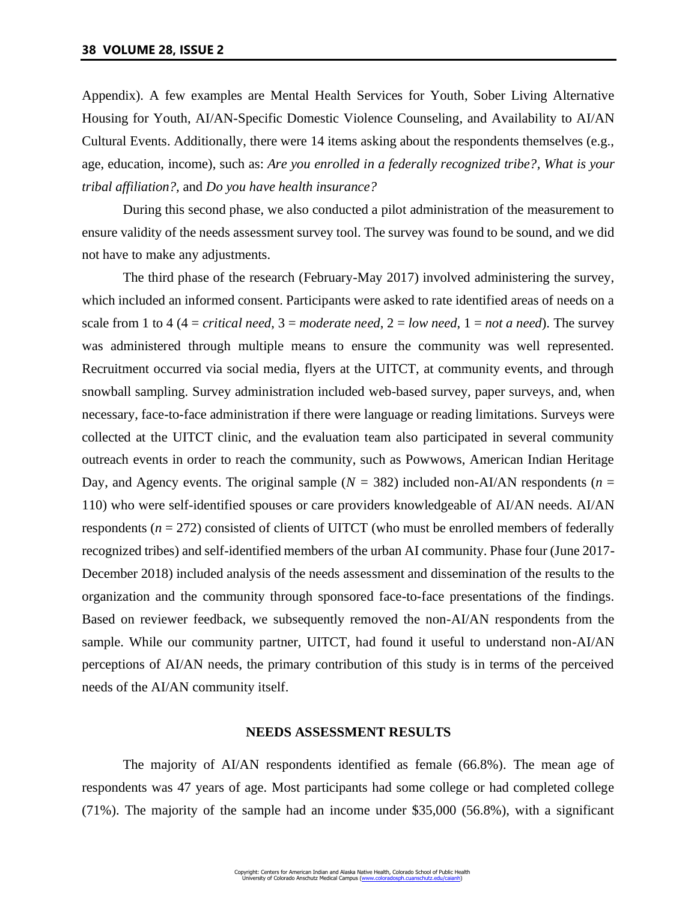Appendix). A few examples are Mental Health Services for Youth, Sober Living Alternative Housing for Youth, AI/AN-Specific Domestic Violence Counseling, and Availability to AI/AN Cultural Events. Additionally, there were 14 items asking about the respondents themselves (e.g., age, education, income), such as: *Are you enrolled in a federally recognized tribe?, What is your tribal affiliation?,* and *Do you have health insurance?*

During this second phase, we also conducted a pilot administration of the measurement to ensure validity of the needs assessment survey tool. The survey was found to be sound, and we did not have to make any adjustments.

The third phase of the research (February-May 2017) involved administering the survey, which included an informed consent. Participants were asked to rate identified areas of needs on a scale from 1 to 4 (4 = *critical need*,  $3 =$  *moderate need*,  $2 =$  *low need*,  $1 =$  *not a need*). The survey was administered through multiple means to ensure the community was well represented. Recruitment occurred via social media, flyers at the UITCT, at community events, and through snowball sampling. Survey administration included web-based survey, paper surveys, and, when necessary, face-to-face administration if there were language or reading limitations. Surveys were collected at the UITCT clinic, and the evaluation team also participated in several community outreach events in order to reach the community, such as Powwows, American Indian Heritage Day, and Agency events. The original sample  $(N = 382)$  included non-AI/AN respondents ( $n =$ 110) who were self-identified spouses or care providers knowledgeable of AI/AN needs. AI/AN respondents (*n* = 272) consisted of clients of UITCT (who must be enrolled members of federally recognized tribes) and self-identified members of the urban AI community. Phase four (June 2017- December 2018) included analysis of the needs assessment and dissemination of the results to the organization and the community through sponsored face-to-face presentations of the findings. Based on reviewer feedback, we subsequently removed the non-AI/AN respondents from the sample. While our community partner, UITCT, had found it useful to understand non-AI/AN perceptions of AI/AN needs, the primary contribution of this study is in terms of the perceived needs of the AI/AN community itself.

#### **NEEDS ASSESSMENT RESULTS**

The majority of AI/AN respondents identified as female (66.8%). The mean age of respondents was 47 years of age. Most participants had some college or had completed college (71%). The majority of the sample had an income under \$35,000 (56.8%), with a significant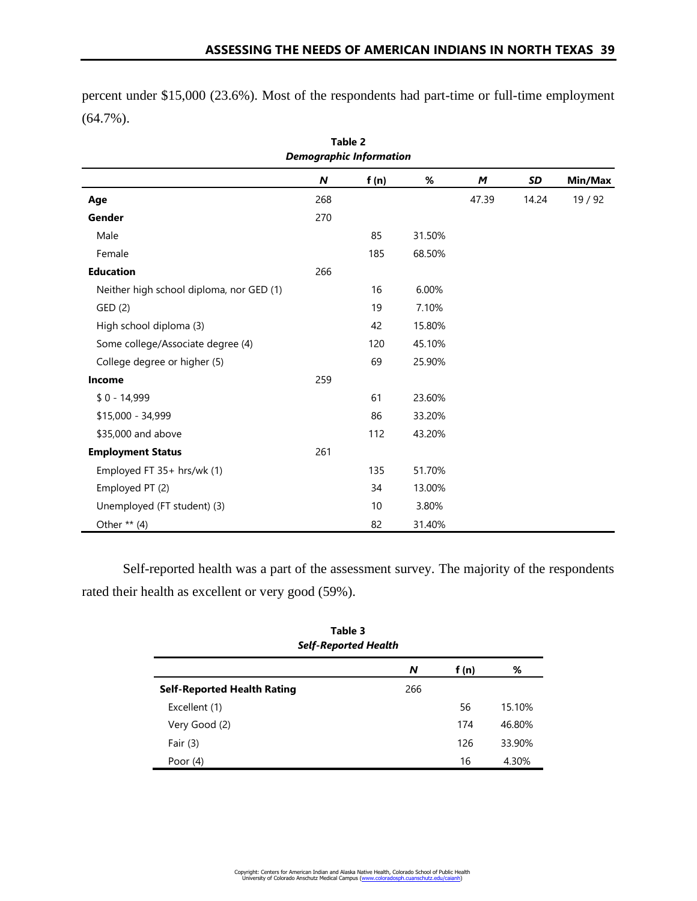percent under \$15,000 (23.6%). Most of the respondents had part-time or full-time employment (64.7%).

| Table 2<br><b>Demographic Information</b> |                  |      |        |       |       |         |  |
|-------------------------------------------|------------------|------|--------|-------|-------|---------|--|
|                                           | $\boldsymbol{N}$ | f(n) | %      | M     | SD    | Min/Max |  |
| Age                                       | 268              |      |        | 47.39 | 14.24 | 19/92   |  |
| Gender                                    | 270              |      |        |       |       |         |  |
| Male                                      |                  | 85   | 31.50% |       |       |         |  |
| Female                                    |                  | 185  | 68.50% |       |       |         |  |
| <b>Education</b>                          | 266              |      |        |       |       |         |  |
| Neither high school diploma, nor GED (1)  |                  | 16   | 6.00%  |       |       |         |  |
| GED (2)                                   |                  | 19   | 7.10%  |       |       |         |  |
| High school diploma (3)                   |                  | 42   | 15.80% |       |       |         |  |
| Some college/Associate degree (4)         |                  | 120  | 45.10% |       |       |         |  |
| College degree or higher (5)              |                  | 69   | 25.90% |       |       |         |  |
| Income                                    | 259              |      |        |       |       |         |  |
| $$0 - 14,999$                             |                  | 61   | 23.60% |       |       |         |  |
| \$15,000 - 34,999                         |                  | 86   | 33.20% |       |       |         |  |
| \$35,000 and above                        |                  | 112  | 43.20% |       |       |         |  |
| <b>Employment Status</b>                  | 261              |      |        |       |       |         |  |
| Employed FT 35+ hrs/wk (1)                |                  | 135  | 51.70% |       |       |         |  |
| Employed PT (2)                           |                  | 34   | 13.00% |       |       |         |  |
| Unemployed (FT student) (3)               |                  | 10   | 3.80%  |       |       |         |  |
| Other $**$ (4)                            |                  | 82   | 31.40% |       |       |         |  |

Self-reported health was a part of the assessment survey. The majority of the respondents rated their health as excellent or very good (59%).

| Table 3<br><b>Self-Reported Health</b> |     |       |        |  |  |  |
|----------------------------------------|-----|-------|--------|--|--|--|
|                                        | N   | f (n) | %      |  |  |  |
| <b>Self-Reported Health Rating</b>     | 266 |       |        |  |  |  |
| Excellent (1)                          |     | 56    | 15.10% |  |  |  |
| Very Good (2)                          |     | 174   | 46.80% |  |  |  |
| Fair $(3)$                             |     | 126   | 33.90% |  |  |  |
| Poor $(4)$                             |     | 16    | 4.30%  |  |  |  |

Copyright: Centers for American Indian and Alaska Native Health, Colorado School of Public Health<br>University of Colorado Anschutz Medical Campus (<u>www.coloradosph.cuanschutz.edu/caianh</u>)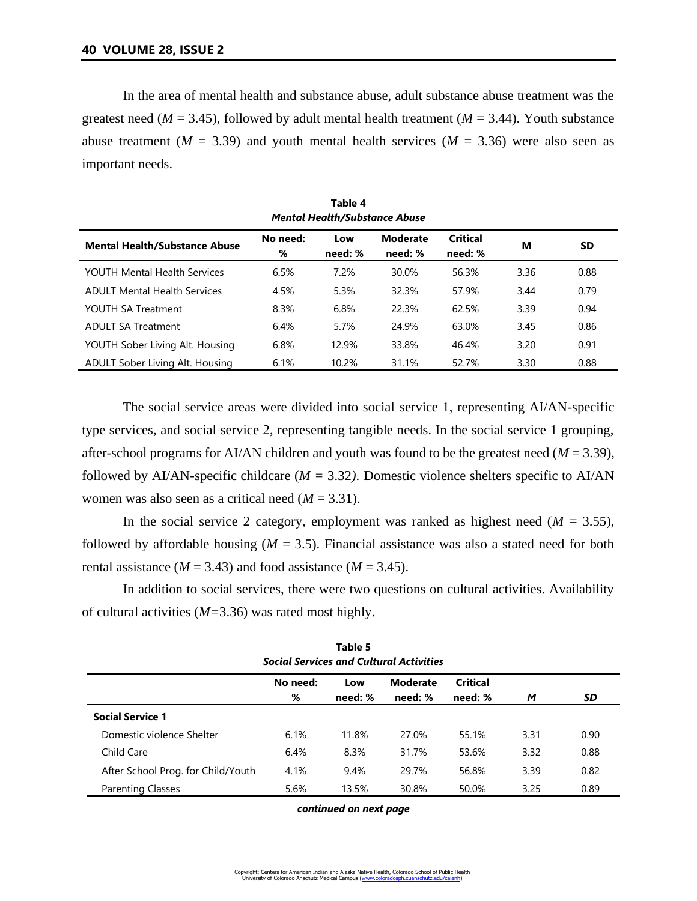In the area of mental health and substance abuse, adult substance abuse treatment was the greatest need ( $M = 3.45$ ), followed by adult mental health treatment ( $M = 3.44$ ). Youth substance abuse treatment ( $M = 3.39$ ) and youth mental health services ( $M = 3.36$ ) were also seen as important needs.

| Table 4<br><b>Mental Health/Substance Abuse</b> |               |                |                            |                            |      |           |  |
|-------------------------------------------------|---------------|----------------|----------------------------|----------------------------|------|-----------|--|
| <b>Mental Health/Substance Abuse</b>            | No need:<br>% | Low<br>need: % | <b>Moderate</b><br>need: % | <b>Critical</b><br>need: % | м    | <b>SD</b> |  |
| YOUTH Mental Health Services                    | 6.5%          | 7.2%           | 30.0%                      | 56.3%                      | 3.36 | 0.88      |  |
| <b>ADULT Mental Health Services</b>             | 4.5%          | 5.3%           | 32.3%                      | 57.9%                      | 3.44 | 0.79      |  |
| YOUTH SA Treatment                              | 8.3%          | 6.8%           | 22.3%                      | 62.5%                      | 3.39 | 0.94      |  |
| <b>ADULT SA Treatment</b>                       | 6.4%          | 5.7%           | 24.9%                      | 63.0%                      | 3.45 | 0.86      |  |
| YOUTH Sober Living Alt. Housing                 | 6.8%          | 12.9%          | 33.8%                      | 46.4%                      | 3.20 | 0.91      |  |
| ADULT Sober Living Alt. Housing                 | 6.1%          | 10.2%          | 31.1%                      | 52.7%                      | 3.30 | 0.88      |  |

The social service areas were divided into social service 1, representing AI/AN-specific type services, and social service 2, representing tangible needs. In the social service 1 grouping, after-school programs for AI/AN children and youth was found to be the greatest need (*M* = 3.39), followed by AI/AN-specific childcare ( $M = 3.32$ ). Domestic violence shelters specific to AI/AN women was also seen as a critical need (*M* = 3.31).

In the social service 2 category, employment was ranked as highest need  $(M = 3.55)$ , followed by affordable housing  $(M = 3.5)$ . Financial assistance was also a stated need for both rental assistance ( $M = 3.43$ ) and food assistance ( $M = 3.45$ ).

In addition to social services, there were two questions on cultural activities. Availability of cultural activities (*M=*3.36) was rated most highly.

| гаріе э<br><b>Social Services and Cultural Activities</b> |               |                |                            |                     |      |      |  |  |
|-----------------------------------------------------------|---------------|----------------|----------------------------|---------------------|------|------|--|--|
|                                                           | No need:<br>% | Low<br>need: % | <b>Moderate</b><br>need: % | Critical<br>need: % | M    | SD   |  |  |
| <b>Social Service 1</b>                                   |               |                |                            |                     |      |      |  |  |
| Domestic violence Shelter                                 | 6.1%          | 11.8%          | 27.0%                      | 55.1%               | 3.31 | 0.90 |  |  |
| Child Care                                                | 6.4%          | 8.3%           | 31.7%                      | 53.6%               | 3.32 | 0.88 |  |  |
| After School Prog. for Child/Youth                        | 4.1%          | 9.4%           | 29.7%                      | 56.8%               | 3.39 | 0.82 |  |  |
| <b>Parenting Classes</b>                                  | 5.6%          | 13.5%          | 30.8%                      | 50.0%               | 3.25 | 0.89 |  |  |

**Table 5**

*continued on next page*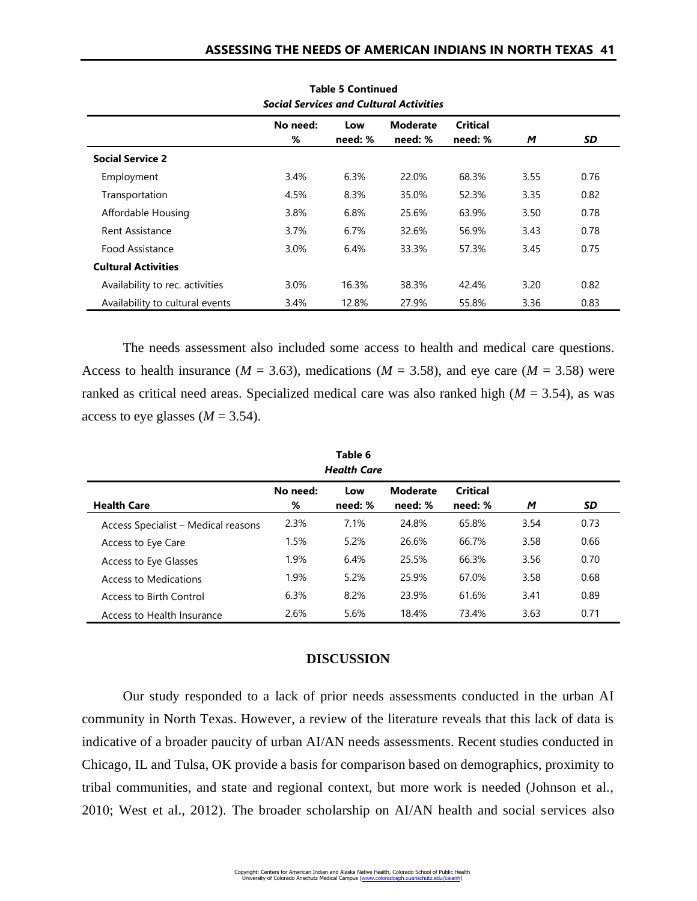| <b>Social Services and Cultural Activities</b> |          |         |                 |                 |      |      |
|------------------------------------------------|----------|---------|-----------------|-----------------|------|------|
|                                                | No need: | Low     | <b>Moderate</b> | <b>Critical</b> |      |      |
|                                                | %        | need: % | need: %         | need: %         | М    | SD   |
| <b>Social Service 2</b>                        |          |         |                 |                 |      |      |
| Employment                                     | 3.4%     | 6.3%    | 22.0%           | 68.3%           | 3.55 | 0.76 |
| Transportation                                 | 4.5%     | 8.3%    | 35.0%           | 52.3%           | 3.35 | 0.82 |
| Affordable Housing                             | 3.8%     | 6.8%    | 25.6%           | 63.9%           | 3.50 | 0.78 |
| <b>Rent Assistance</b>                         | 3.7%     | $6.7\%$ | 32.6%           | 56.9%           | 3.43 | 0.78 |
| Food Assistance                                | 3.0%     | 6.4%    | 33.3%           | 57.3%           | 3.45 | 0.75 |
| <b>Cultural Activities</b>                     |          |         |                 |                 |      |      |
| Availability to rec. activities                | 3.0%     | 16.3%   | 38.3%           | 42.4%           | 3.20 | 0.82 |
| Availability to cultural events                | 3.4%     | 12.8%   | 27.9%           | 55.8%           | 3.36 | 0.83 |

**Table 5 Continued**

The needs assessment also included some access to health and medical care questions. Access to health insurance ( $M = 3.63$ ), medications ( $M = 3.58$ ), and eye care ( $M = 3.58$ ) were ranked as critical need areas. Specialized medical care was also ranked high (*M* = 3.54), as was access to eye glasses  $(M = 3.54)$ .

| <b>Health Care</b>                  |          |         |                 |                 |      |      |
|-------------------------------------|----------|---------|-----------------|-----------------|------|------|
|                                     | No need: | Low     | <b>Moderate</b> | <b>Critical</b> |      |      |
| <b>Health Care</b>                  | %        | need: % | need: %         | need: %         | М    | SD   |
| Access Specialist – Medical reasons | 2.3%     | 7.1%    | 24.8%           | 65.8%           | 3.54 | 0.73 |
| Access to Eye Care                  | 1.5%     | 5.2%    | 26.6%           | 66.7%           | 3.58 | 0.66 |
| Access to Eye Glasses               | 1.9%     | 6.4%    | 25.5%           | 66.3%           | 3.56 | 0.70 |
| Access to Medications               | 1.9%     | 5.2%    | 25.9%           | 67.0%           | 3.58 | 0.68 |
| Access to Birth Control             | 6.3%     | 8.2%    | 23.9%           | 61.6%           | 3.41 | 0.89 |
| Access to Health Insurance          | 2.6%     | 5.6%    | 18.4%           | 73.4%           | 3.63 | 0.71 |

**Table 6**

# **DISCUSSION**

Our study responded to a lack of prior needs assessments conducted in the urban AI community in North Texas. However, a review of the literature reveals that this lack of data is indicative of a broader paucity of urban AI/AN needs assessments. Recent studies conducted in Chicago, IL and Tulsa, OK provide a basis for comparison based on demographics, proximity to tribal communities, and state and regional context, but more work is needed (Johnson et al., 2010; West et al., 2012). The broader scholarship on AI/AN health and social services also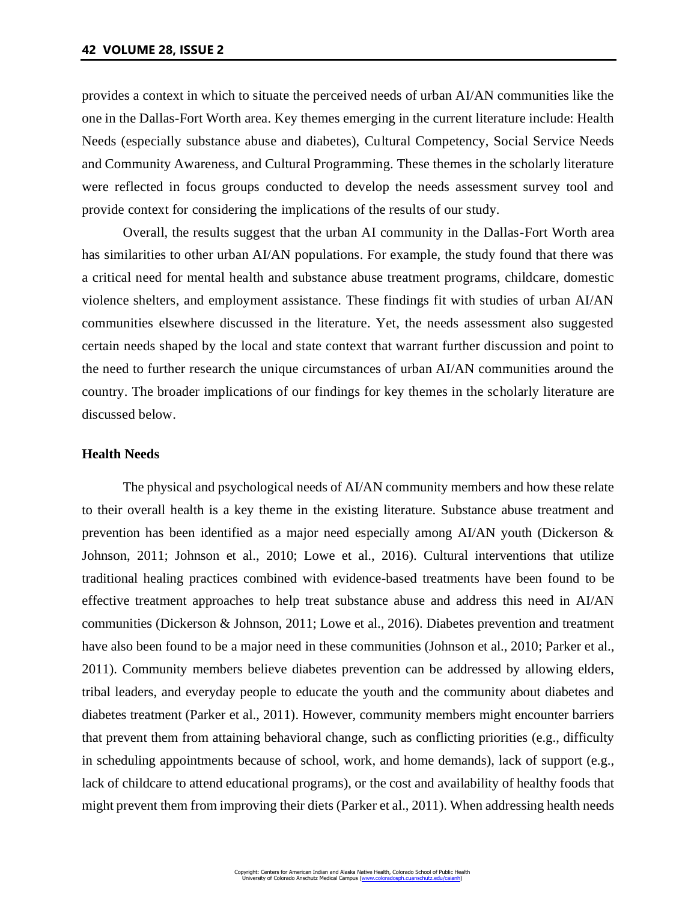provides a context in which to situate the perceived needs of urban AI/AN communities like the one in the Dallas-Fort Worth area. Key themes emerging in the current literature include: Health Needs (especially substance abuse and diabetes), Cultural Competency, Social Service Needs and Community Awareness, and Cultural Programming. These themes in the scholarly literature were reflected in focus groups conducted to develop the needs assessment survey tool and provide context for considering the implications of the results of our study.

Overall, the results suggest that the urban AI community in the Dallas-Fort Worth area has similarities to other urban AI/AN populations. For example, the study found that there was a critical need for mental health and substance abuse treatment programs, childcare, domestic violence shelters, and employment assistance. These findings fit with studies of urban AI/AN communities elsewhere discussed in the literature. Yet, the needs assessment also suggested certain needs shaped by the local and state context that warrant further discussion and point to the need to further research the unique circumstances of urban AI/AN communities around the country. The broader implications of our findings for key themes in the scholarly literature are discussed below.

# **Health Needs**

The physical and psychological needs of AI/AN community members and how these relate to their overall health is a key theme in the existing literature. Substance abuse treatment and prevention has been identified as a major need especially among AI/AN youth (Dickerson & Johnson, 2011; Johnson et al., 2010; Lowe et al., 2016). Cultural interventions that utilize traditional healing practices combined with evidence-based treatments have been found to be effective treatment approaches to help treat substance abuse and address this need in AI/AN communities (Dickerson & Johnson, 2011; Lowe et al., 2016). Diabetes prevention and treatment have also been found to be a major need in these communities (Johnson et al., 2010; Parker et al., 2011). Community members believe diabetes prevention can be addressed by allowing elders, tribal leaders, and everyday people to educate the youth and the community about diabetes and diabetes treatment (Parker et al., 2011). However, community members might encounter barriers that prevent them from attaining behavioral change, such as conflicting priorities (e.g., difficulty in scheduling appointments because of school, work, and home demands), lack of support (e.g., lack of childcare to attend educational programs), or the cost and availability of healthy foods that might prevent them from improving their diets (Parker et al., 2011). When addressing health needs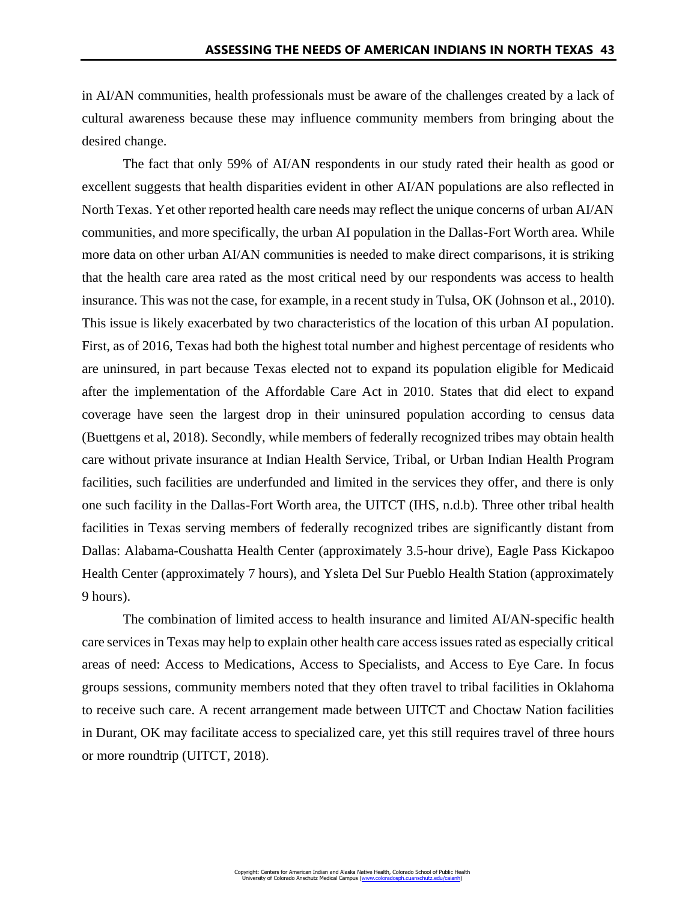in AI/AN communities, health professionals must be aware of the challenges created by a lack of cultural awareness because these may influence community members from bringing about the desired change.

The fact that only 59% of AI/AN respondents in our study rated their health as good or excellent suggests that health disparities evident in other AI/AN populations are also reflected in North Texas. Yet other reported health care needs may reflect the unique concerns of urban AI/AN communities, and more specifically, the urban AI population in the Dallas-Fort Worth area. While more data on other urban AI/AN communities is needed to make direct comparisons, it is striking that the health care area rated as the most critical need by our respondents was access to health insurance. This was not the case, for example, in a recent study in Tulsa, OK (Johnson et al., 2010). This issue is likely exacerbated by two characteristics of the location of this urban AI population. First, as of 2016, Texas had both the highest total number and highest percentage of residents who are uninsured, in part because Texas elected not to expand its population eligible for Medicaid after the implementation of the Affordable Care Act in 2010. States that did elect to expand coverage have seen the largest drop in their uninsured population according to census data (Buettgens et al, 2018). Secondly, while members of federally recognized tribes may obtain health care without private insurance at Indian Health Service, Tribal, or Urban Indian Health Program facilities, such facilities are underfunded and limited in the services they offer, and there is only one such facility in the Dallas-Fort Worth area, the UITCT (IHS, n.d.b). Three other tribal health facilities in Texas serving members of federally recognized tribes are significantly distant from Dallas: Alabama-Coushatta Health Center (approximately 3.5-hour drive), Eagle Pass Kickapoo Health Center (approximately 7 hours), and Ysleta Del Sur Pueblo Health Station (approximately 9 hours).

The combination of limited access to health insurance and limited AI/AN-specific health care services in Texas may help to explain other health care access issues rated as especially critical areas of need: Access to Medications, Access to Specialists, and Access to Eye Care. In focus groups sessions, community members noted that they often travel to tribal facilities in Oklahoma to receive such care. A recent arrangement made between UITCT and Choctaw Nation facilities in Durant, OK may facilitate access to specialized care, yet this still requires travel of three hours or more roundtrip (UITCT, 2018).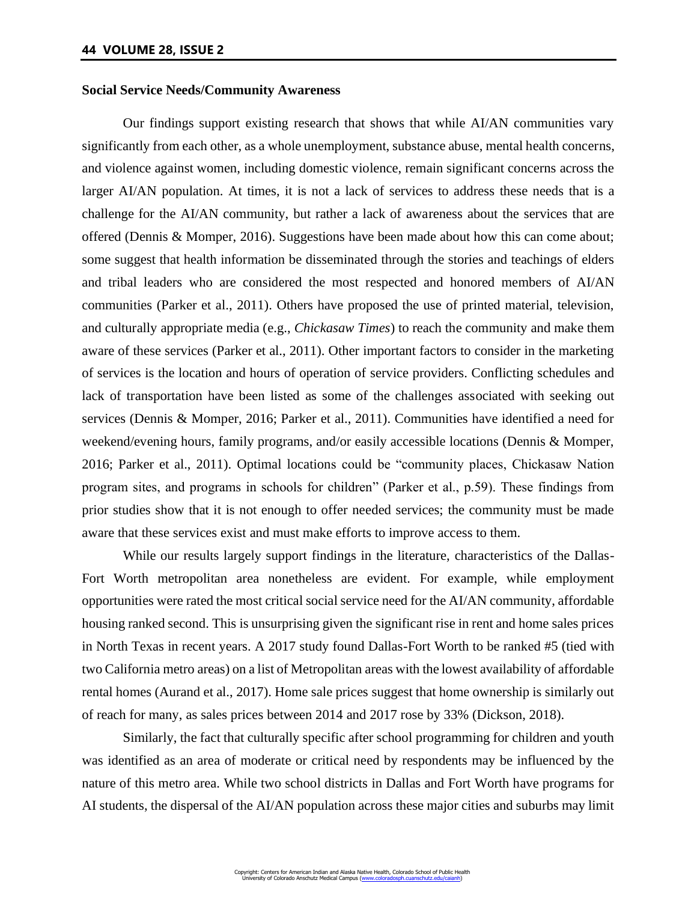#### **Social Service Needs/Community Awareness**

Our findings support existing research that shows that while AI/AN communities vary significantly from each other, as a whole unemployment, substance abuse, mental health concerns, and violence against women, including domestic violence, remain significant concerns across the larger AI/AN population. At times, it is not a lack of services to address these needs that is a challenge for the AI/AN community, but rather a lack of awareness about the services that are offered (Dennis & Momper, 2016). Suggestions have been made about how this can come about; some suggest that health information be disseminated through the stories and teachings of elders and tribal leaders who are considered the most respected and honored members of AI/AN communities (Parker et al., 2011). Others have proposed the use of printed material, television, and culturally appropriate media (e.g., *Chickasaw Times*) to reach the community and make them aware of these services (Parker et al., 2011). Other important factors to consider in the marketing of services is the location and hours of operation of service providers. Conflicting schedules and lack of transportation have been listed as some of the challenges associated with seeking out services (Dennis & Momper, 2016; Parker et al., 2011). Communities have identified a need for weekend/evening hours, family programs, and/or easily accessible locations (Dennis & Momper, 2016; Parker et al., 2011). Optimal locations could be "community places, Chickasaw Nation program sites, and programs in schools for children" (Parker et al., p.59). These findings from prior studies show that it is not enough to offer needed services; the community must be made aware that these services exist and must make efforts to improve access to them.

While our results largely support findings in the literature, characteristics of the Dallas-Fort Worth metropolitan area nonetheless are evident. For example, while employment opportunities were rated the most critical social service need for the AI/AN community, affordable housing ranked second. This is unsurprising given the significant rise in rent and home sales prices in North Texas in recent years. A 2017 study found Dallas-Fort Worth to be ranked #5 (tied with two California metro areas) on a list of Metropolitan areas with the lowest availability of affordable rental homes (Aurand et al., 2017). Home sale prices suggest that home ownership is similarly out of reach for many, as sales prices between 2014 and 2017 rose by 33% (Dickson, 2018).

Similarly, the fact that culturally specific after school programming for children and youth was identified as an area of moderate or critical need by respondents may be influenced by the nature of this metro area. While two school districts in Dallas and Fort Worth have programs for AI students, the dispersal of the AI/AN population across these major cities and suburbs may limit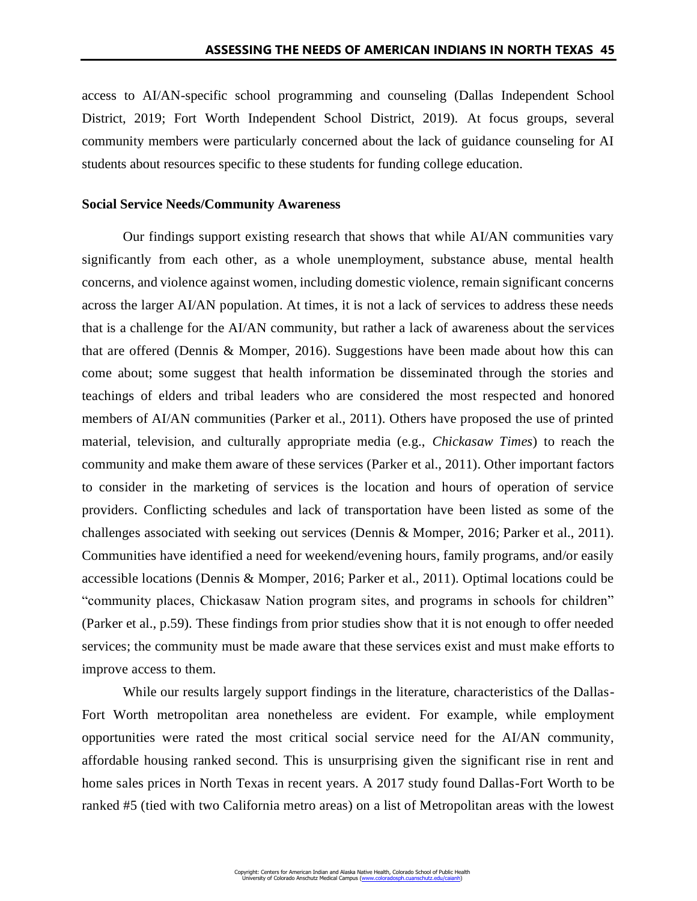access to AI/AN-specific school programming and counseling (Dallas Independent School District, 2019; Fort Worth Independent School District, 2019). At focus groups, several community members were particularly concerned about the lack of guidance counseling for AI students about resources specific to these students for funding college education.

### **Social Service Needs/Community Awareness**

Our findings support existing research that shows that while AI/AN communities vary significantly from each other, as a whole unemployment, substance abuse, mental health concerns, and violence against women, including domestic violence, remain significant concerns across the larger AI/AN population. At times, it is not a lack of services to address these needs that is a challenge for the AI/AN community, but rather a lack of awareness about the services that are offered (Dennis & Momper, 2016). Suggestions have been made about how this can come about; some suggest that health information be disseminated through the stories and teachings of elders and tribal leaders who are considered the most respected and honored members of AI/AN communities (Parker et al., 2011). Others have proposed the use of printed material, television, and culturally appropriate media (e.g., *Chickasaw Times*) to reach the community and make them aware of these services (Parker et al., 2011). Other important factors to consider in the marketing of services is the location and hours of operation of service providers. Conflicting schedules and lack of transportation have been listed as some of the challenges associated with seeking out services (Dennis & Momper, 2016; Parker et al., 2011). Communities have identified a need for weekend/evening hours, family programs, and/or easily accessible locations (Dennis & Momper, 2016; Parker et al., 2011). Optimal locations could be "community places, Chickasaw Nation program sites, and programs in schools for children" (Parker et al., p.59). These findings from prior studies show that it is not enough to offer needed services; the community must be made aware that these services exist and must make efforts to improve access to them.

While our results largely support findings in the literature, characteristics of the Dallas-Fort Worth metropolitan area nonetheless are evident. For example, while employment opportunities were rated the most critical social service need for the AI/AN community, affordable housing ranked second. This is unsurprising given the significant rise in rent and home sales prices in North Texas in recent years. A 2017 study found Dallas-Fort Worth to be ranked #5 (tied with two California metro areas) on a list of Metropolitan areas with the lowest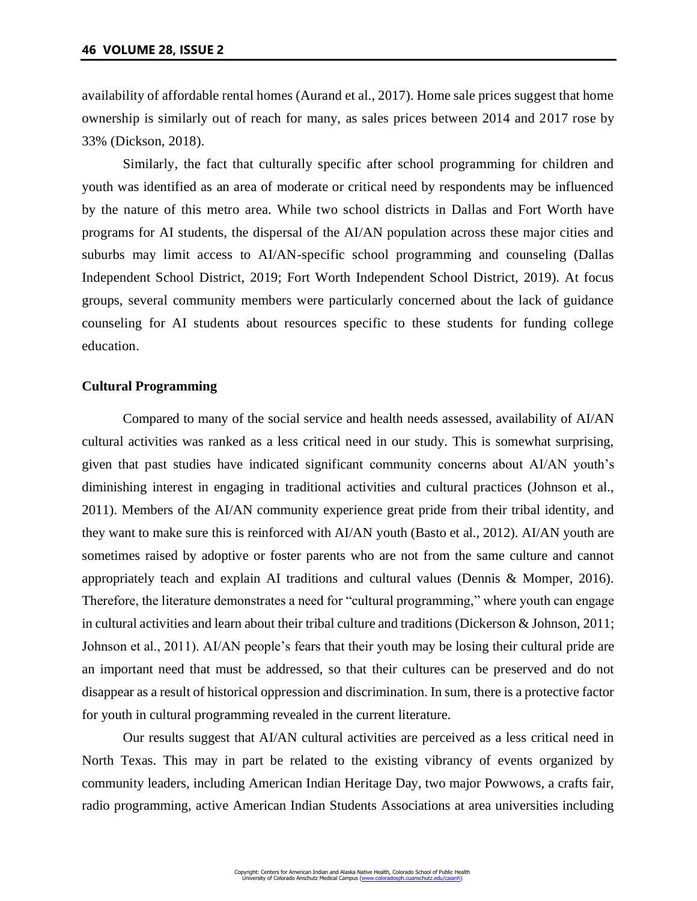availability of affordable rental homes (Aurand et al., 2017). Home sale prices suggest that home ownership is similarly out of reach for many, as sales prices between 2014 and 2017 rose by 33% (Dickson, 2018).

Similarly, the fact that culturally specific after school programming for children and youth was identified as an area of moderate or critical need by respondents may be influenced by the nature of this metro area. While two school districts in Dallas and Fort Worth have programs for AI students, the dispersal of the AI/AN population across these major cities and suburbs may limit access to AI/AN-specific school programming and counseling (Dallas Independent School District, 2019; Fort Worth Independent School District, 2019). At focus groups, several community members were particularly concerned about the lack of guidance counseling for AI students about resources specific to these students for funding college education.

#### **Cultural Programming**

Compared to many of the social service and health needs assessed, availability of AI/AN cultural activities was ranked as a less critical need in our study. This is somewhat surprising, given that past studies have indicated significant community concerns about AI/AN youth's diminishing interest in engaging in traditional activities and cultural practices (Johnson et al., 2011). Members of the AI/AN community experience great pride from their tribal identity, and they want to make sure this is reinforced with AI/AN youth (Basto et al., 2012). AI/AN youth are sometimes raised by adoptive or foster parents who are not from the same culture and cannot appropriately teach and explain AI traditions and cultural values (Dennis & Momper, 2016). Therefore, the literature demonstrates a need for "cultural programming," where youth can engage in cultural activities and learn about their tribal culture and traditions (Dickerson & Johnson, 2011; Johnson et al., 2011). AI/AN people's fears that their youth may be losing their cultural pride are an important need that must be addressed, so that their cultures can be preserved and do not disappear as a result of historical oppression and discrimination. In sum, there is a protective factor for youth in cultural programming revealed in the current literature.

Our results suggest that AI/AN cultural activities are perceived as a less critical need in North Texas. This may in part be related to the existing vibrancy of events organized by community leaders, including American Indian Heritage Day, two major Powwows, a crafts fair, radio programming, active American Indian Students Associations at area universities including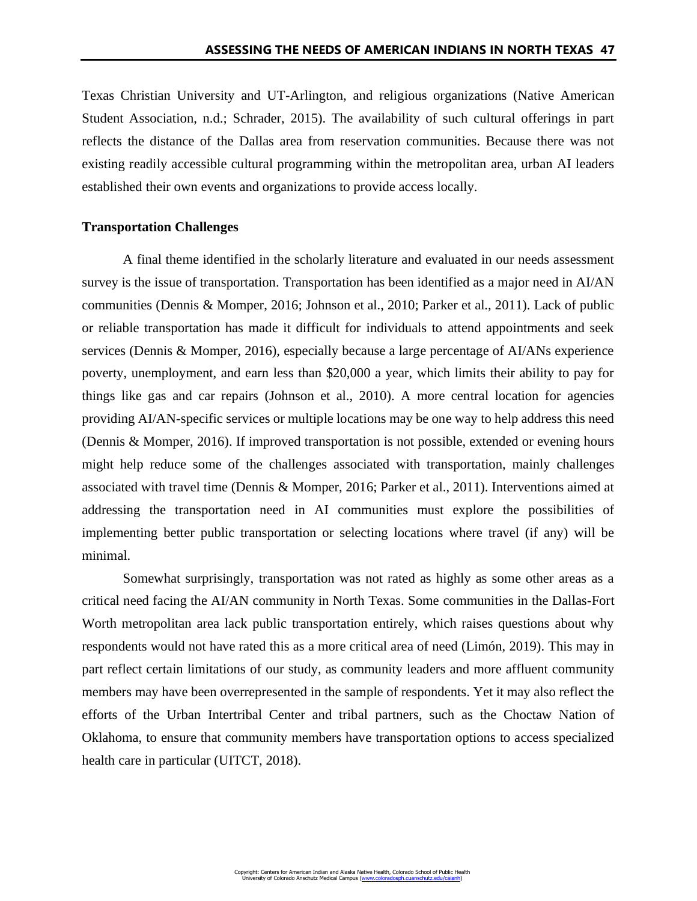Texas Christian University and UT-Arlington, and religious organizations (Native American Student Association, n.d.; Schrader, 2015). The availability of such cultural offerings in part reflects the distance of the Dallas area from reservation communities. Because there was not existing readily accessible cultural programming within the metropolitan area, urban AI leaders established their own events and organizations to provide access locally.

### **Transportation Challenges**

A final theme identified in the scholarly literature and evaluated in our needs assessment survey is the issue of transportation. Transportation has been identified as a major need in AI/AN communities (Dennis & Momper, 2016; Johnson et al., 2010; Parker et al., 2011). Lack of public or reliable transportation has made it difficult for individuals to attend appointments and seek services (Dennis & Momper, 2016), especially because a large percentage of AI/ANs experience poverty, unemployment, and earn less than \$20,000 a year, which limits their ability to pay for things like gas and car repairs (Johnson et al., 2010). A more central location for agencies providing AI/AN-specific services or multiple locations may be one way to help address this need (Dennis & Momper, 2016). If improved transportation is not possible, extended or evening hours might help reduce some of the challenges associated with transportation, mainly challenges associated with travel time (Dennis & Momper, 2016; Parker et al., 2011). Interventions aimed at addressing the transportation need in AI communities must explore the possibilities of implementing better public transportation or selecting locations where travel (if any) will be minimal.

Somewhat surprisingly, transportation was not rated as highly as some other areas as a critical need facing the AI/AN community in North Texas. Some communities in the Dallas-Fort Worth metropolitan area lack public transportation entirely, which raises questions about why respondents would not have rated this as a more critical area of need (Limón, 2019). This may in part reflect certain limitations of our study, as community leaders and more affluent community members may have been overrepresented in the sample of respondents. Yet it may also reflect the efforts of the Urban Intertribal Center and tribal partners, such as the Choctaw Nation of Oklahoma, to ensure that community members have transportation options to access specialized health care in particular (UITCT, 2018).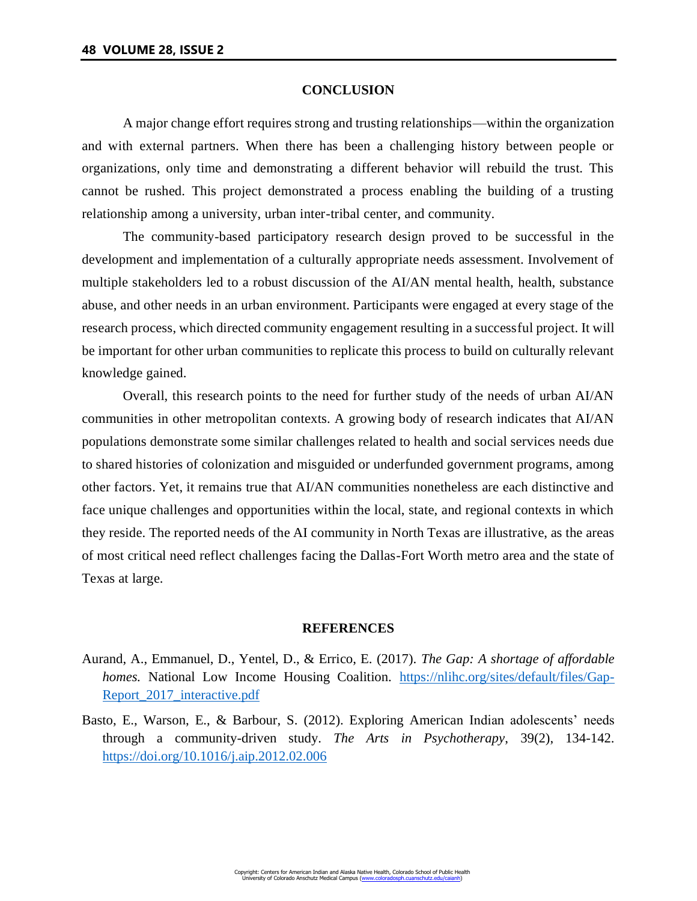#### **CONCLUSION**

A major change effort requires strong and trusting relationships—within the organization and with external partners. When there has been a challenging history between people or organizations, only time and demonstrating a different behavior will rebuild the trust. This cannot be rushed. This project demonstrated a process enabling the building of a trusting relationship among a university, urban inter-tribal center, and community.

The community-based participatory research design proved to be successful in the development and implementation of a culturally appropriate needs assessment. Involvement of multiple stakeholders led to a robust discussion of the AI/AN mental health, health, substance abuse, and other needs in an urban environment. Participants were engaged at every stage of the research process, which directed community engagement resulting in a successful project. It will be important for other urban communities to replicate this process to build on culturally relevant knowledge gained.

Overall, this research points to the need for further study of the needs of urban AI/AN communities in other metropolitan contexts. A growing body of research indicates that AI/AN populations demonstrate some similar challenges related to health and social services needs due to shared histories of colonization and misguided or underfunded government programs, among other factors. Yet, it remains true that AI/AN communities nonetheless are each distinctive and face unique challenges and opportunities within the local, state, and regional contexts in which they reside. The reported needs of the AI community in North Texas are illustrative, as the areas of most critical need reflect challenges facing the Dallas-Fort Worth metro area and the state of Texas at large.

# **REFERENCES**

- Aurand, A., Emmanuel, D., Yentel, D., & Errico, E. (2017). *The Gap: A shortage of affordable homes.* National Low Income Housing Coalition. [https://nlihc.org/sites/default/files/Gap-](https://nlihc.org/sites/default/files/Gap-Report_2017_interactive.pdf)[Report\\_2017\\_interactive.pdf](https://nlihc.org/sites/default/files/Gap-Report_2017_interactive.pdf)
- Basto, E., Warson, E., & Barbour, S. (2012). Exploring American Indian adolescents' needs through a community-driven study. *The Arts in Psychotherapy*, 39(2), 134-142. <https://doi.org/10.1016/j.aip.2012.02.006>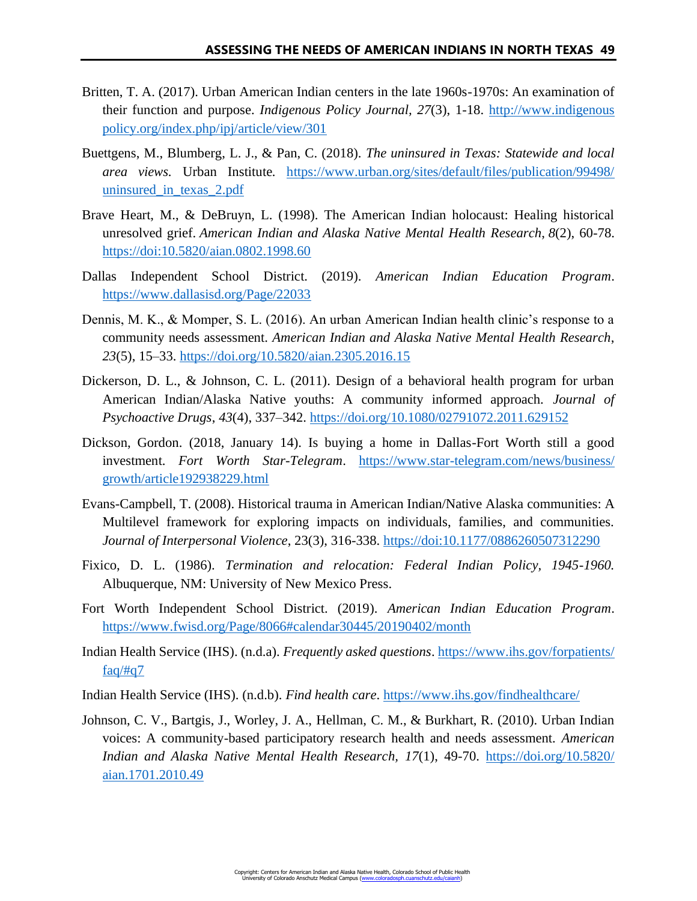- Britten, T. A. (2017). Urban American Indian centers in the late 1960s-1970s: An examination of their function and purpose. *Indigenous Policy Journal, 27*(3), 1-18. [http://www.indigenous](http://www.indigenouspolicy.org/index.php/ipj/article/view/301) [policy.org/index.php/ipj/article/view/301](http://www.indigenouspolicy.org/index.php/ipj/article/view/301)
- Buettgens, M., Blumberg, L. J., & Pan, C. (2018). *The uninsured in Texas: Statewide and local area views.* Urban Institute*.* [https://www.urban.org/sites/default/files/publication/99498/](https://www.urban.org/sites/default/files/publication/99498/uninsured_in_texas_2.pdf) [uninsured\\_in\\_texas\\_2.pdf](https://www.urban.org/sites/default/files/publication/99498/uninsured_in_texas_2.pdf)
- Brave Heart, M., & DeBruyn, L. (1998). The American Indian holocaust: Healing historical unresolved grief. *American Indian and Alaska Native Mental Health Research*, *8*(2), 60-78. <https://doi:10.5820/aian.0802.1998.60>
- Dallas Independent School District. (2019). *American Indian Education Program*. <https://www.dallasisd.org/Page/22033>
- Dennis, M. K., & Momper, S. L. (2016). An urban American Indian health clinic's response to a community needs assessment. *American Indian and Alaska Native Mental Health Research*, *23*(5), 15–33.<https://doi.org/10.5820/aian.2305.2016.15>
- Dickerson, D. L., & Johnson, C. L. (2011). Design of a behavioral health program for urban American Indian/Alaska Native youths: A community informed approach. *Journal of Psychoactive Drugs*, *43*(4), 337–342.<https://doi.org/10.1080/02791072.2011.629152>
- Dickson, Gordon. (2018, January 14). Is buying a home in Dallas-Fort Worth still a good investment. *Fort Worth Star-Telegram*. [https://www.star-telegram.com/news/business/](https://www.star-telegram.com/news/business/growth/article192938229.html) [growth/article192938229.html](https://www.star-telegram.com/news/business/growth/article192938229.html)
- Evans-Campbell, T. (2008). Historical trauma in American Indian/Native Alaska communities: A Multilevel framework for exploring impacts on individuals, families, and communities. *Journal of Interpersonal Violence*, 23(3), 316-338.<https://doi:10.1177/0886260507312290>
- Fixico, D. L. (1986). *Termination and relocation: Federal Indian Policy, 1945-1960.* Albuquerque, NM: University of New Mexico Press.
- Fort Worth Independent School District. (2019). *American Indian Education Program*. <https://www.fwisd.org/Page/8066#calendar30445/20190402/month>
- Indian Health Service (IHS). (n.d.a). *Frequently asked questions*. [https://www.ihs.gov/forpatients/](https://www.ihs.gov/forpatients/faq/#q7)  $faq/\ddagger q7$
- Indian Health Service (IHS). (n.d.b). *Find health care*.<https://www.ihs.gov/findhealthcare/>
- Johnson, C. V., Bartgis, J., Worley, J. A., Hellman, C. M., & Burkhart, R. (2010). Urban Indian voices: A community-based participatory research health and needs assessment. *American Indian and Alaska Native Mental Health Research, 17*(1), 49-70. [https://doi.org/10.5820/](https://doi.org/10.5820/aian.1701.2010.49) [aian.1701.2010.49](https://doi.org/10.5820/aian.1701.2010.49)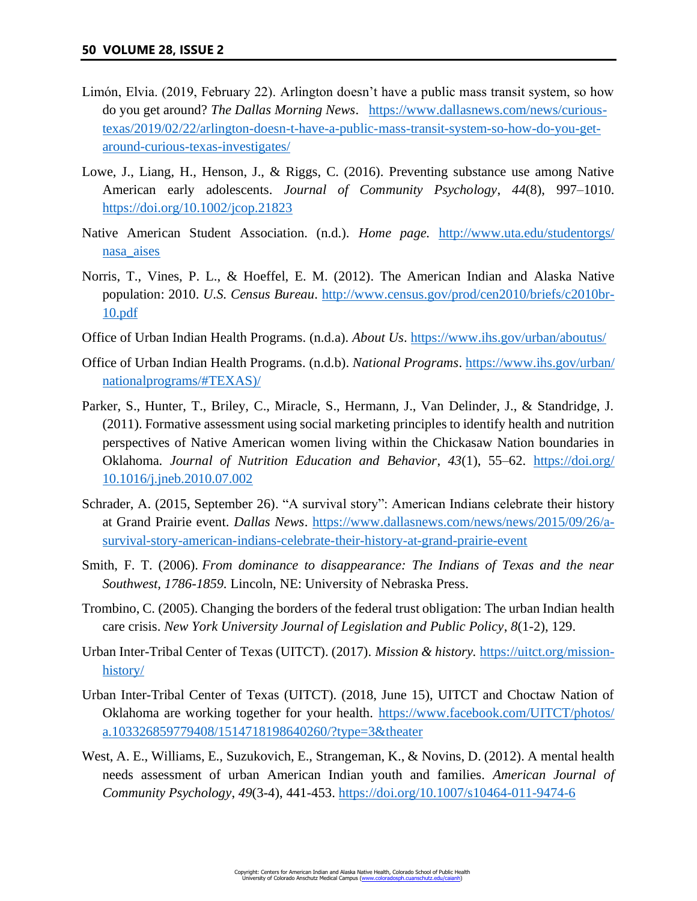- Limón, Elvia. (2019, February 22). Arlington doesn't have a public mass transit system, so how do you get around? *The Dallas Morning News*. [https://www.dallasnews.com/news/curious](https://www.dallasnews.com/news/curious-texas/2019/02/22/arlington-doesn-t-have-a-public-mass-transit-system-so-how-do-you-get-around-curious-texas-investigates/)[texas/2019/02/22/arlington-doesn-t-have-a-public-mass-transit-system-so-how-do-you-get](https://www.dallasnews.com/news/curious-texas/2019/02/22/arlington-doesn-t-have-a-public-mass-transit-system-so-how-do-you-get-around-curious-texas-investigates/)[around-curious-texas-investigates/](https://www.dallasnews.com/news/curious-texas/2019/02/22/arlington-doesn-t-have-a-public-mass-transit-system-so-how-do-you-get-around-curious-texas-investigates/)
- Lowe, J., Liang, H., Henson, J., & Riggs, C. (2016). Preventing substance use among Native American early adolescents. *Journal of Community Psychology*, *44*(8), 997–1010. <https://doi.org/10.1002/jcop.21823>
- Native American Student Association. (n.d.). *Home page.* [http://www.uta.edu/studentorgs/](http://www.uta.edu/studentorgs/nasa_aises/) [nasa\\_aises](http://www.uta.edu/studentorgs/nasa_aises/)
- Norris, T., Vines, P. L., & Hoeffel, E. M. (2012). The American Indian and Alaska Native population: 2010. *U.S. Census Bureau*. [http://www.census.gov/prod/cen2010/briefs/c2010br-](http://www.census.gov/prod/cen2010/briefs/c2010br-10.pdf)[10.pdf](http://www.census.gov/prod/cen2010/briefs/c2010br-10.pdf)
- Office of Urban Indian Health Programs. (n.d.a). *About Us*.<https://www.ihs.gov/urban/aboutus/>
- Office of Urban Indian Health Programs. (n.d.b). *National Programs*[. https://www.ihs.gov/urban/](https://www.ihs.gov/urban/nationalprograms/#TEXAS)/) [nationalprograms/#TEXAS\)/](https://www.ihs.gov/urban/nationalprograms/#TEXAS)/)
- Parker, S., Hunter, T., Briley, C., Miracle, S., Hermann, J., Van Delinder, J., & Standridge, J. (2011). Formative assessment using social marketing principles to identify health and nutrition perspectives of Native American women living within the Chickasaw Nation boundaries in Oklahoma. *Journal of Nutrition Education and Behavior*, *43*(1), 55–62. [https://doi.org/](https://doi.org/10.1016/j.jneb.2010.07.002) [10.1016/j.jneb.2010.07.002](https://doi.org/10.1016/j.jneb.2010.07.002)
- Schrader, A. (2015, September 26). "A survival story": American Indians celebrate their history at Grand Prairie event. *Dallas News*. [https://www.dallasnews.com/news/news/2015/09/26/a](https://www.dallasnews.com/news/news/2015/09/26/a-survival-story-american-indians-celebrate-their-history-at-grand-prairie-event)[survival-story-american-indians-celebrate-their-history-at-grand-prairie-event](https://www.dallasnews.com/news/news/2015/09/26/a-survival-story-american-indians-celebrate-their-history-at-grand-prairie-event)
- Smith, F. T. (2006). *From dominance to disappearance: The Indians of Texas and the near Southwest, 1786-1859.* Lincoln, NE: University of Nebraska Press.
- Trombino, C. (2005). Changing the borders of the federal trust obligation: The urban Indian health care crisis. *New York University Journal of Legislation and Public Policy*, *8*(1-2), 129.
- Urban Inter-Tribal Center of Texas (UITCT). (2017). *Mission & history.* [https://uitct.org/mission](https://uitct.org/mission-history/)[history/](https://uitct.org/mission-history/)
- Urban Inter-Tribal Center of Texas (UITCT). (2018, June 15), UITCT and Choctaw Nation of Oklahoma are working together for your health. [https://www.facebook.com/UITCT/photos/](https://www.facebook.com/UITCT/photos/a.103326859779408/1514718198640260/?type=3&theater) [a.103326859779408/1514718198640260/?type=3&theater](https://www.facebook.com/UITCT/photos/a.103326859779408/1514718198640260/?type=3&theater)
- West, A. E., Williams, E., Suzukovich, E., Strangeman, K., & Novins, D. (2012). A mental health needs assessment of urban American Indian youth and families. *American Journal of Community Psychology*, *49*(3-4), 441-453.<https://doi.org/10.1007/s10464-011-9474-6>